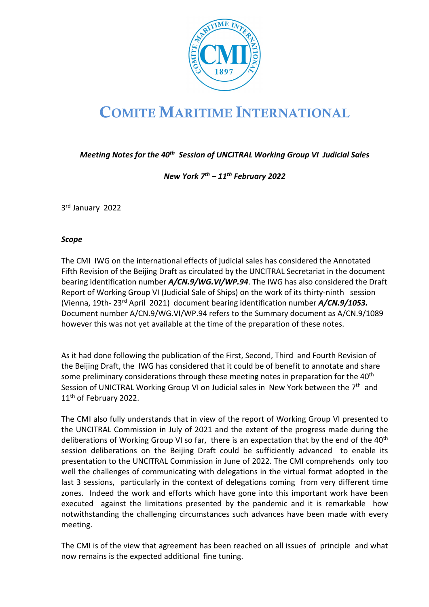

# COMITE MARITIME INTERNATIONAL

*Meeting Notes for the 40th Session of UNCITRAL Working Group VI Judicial Sales*

*New York 7th – 11th February 2022* 

3rd January 2022

#### *Scope*

The CMI IWG on the international effects of judicial sales has considered the Annotated Fifth Revision of the Beijing Draft as circulated by the UNCITRAL Secretariat in the document bearing identification number *A/CN.9/WG.VI/WP.94*. The IWG has also considered the Draft Report of Working Group VI (Judicial Sale of Ships) on the work of its thirty-ninth session (Vienna, 19th- 23rd April 2021) document bearing identification number *A/CN.9/1053.*  Document number A/CN.9/WG.VI/WP.94 refers to the Summary document as A/CN.9/1089 however this was not yet available at the time of the preparation of these notes.

As it had done following the publication of the First, Second, Third and Fourth Revision of the Beijing Draft, the IWG has considered that it could be of benefit to annotate and share some preliminary considerations through these meeting notes in preparation for the 40<sup>th</sup> Session of UNICTRAL Working Group VI on Judicial sales in New York between the 7<sup>th</sup> and 11<sup>th</sup> of February 2022.

The CMI also fully understands that in view of the report of Working Group VI presented to the UNCITRAL Commission in July of 2021 and the extent of the progress made during the deliberations of Working Group VI so far, there is an expectation that by the end of the 40<sup>th</sup> session deliberations on the Beijing Draft could be sufficiently advanced to enable its presentation to the UNCITRAL Commission in June of 2022. The CMI comprehends only too well the challenges of communicating with delegations in the virtual format adopted in the last 3 sessions, particularly in the context of delegations coming from very different time zones. Indeed the work and efforts which have gone into this important work have been executed against the limitations presented by the pandemic and it is remarkable how notwithstanding the challenging circumstances such advances have been made with every meeting.

The CMI is of the view that agreement has been reached on all issues of principle and what now remains is the expected additional fine tuning.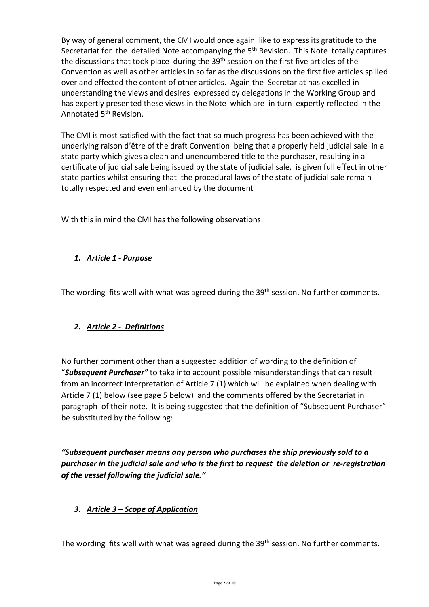By way of general comment, the CMI would once again like to express its gratitude to the Secretariat for the detailed Note accompanying the 5<sup>th</sup> Revision. This Note totally captures the discussions that took place during the 39<sup>th</sup> session on the first five articles of the Convention as well as other articles in so far as the discussions on the first five articles spilled over and effected the content of other articles. Again the Secretariat has excelled in understanding the views and desires expressed by delegations in the Working Group and has expertly presented these views in the Note which are in turn expertly reflected in the Annotated 5th Revision.

The CMI is most satisfied with the fact that so much progress has been achieved with the underlying raison d'être of the draft Convention being that a properly held judicial sale in a state party which gives a clean and unencumbered title to the purchaser, resulting in a certificate of judicial sale being issued by the state of judicial sale, is given full effect in other state parties whilst ensuring that the procedural laws of the state of judicial sale remain totally respected and even enhanced by the document

With this in mind the CMI has the following observations:

# *1. Article 1 - Purpose*

The wording fits well with what was agreed during the 39<sup>th</sup> session. No further comments.

# *2. Article 2 - Definitions*

No further comment other than a suggested addition of wording to the definition of "*Subsequent Purchaser"* to take into account possible misunderstandings that can result from an incorrect interpretation of Article 7 (1) which will be explained when dealing with Article 7 (1) below (see page 5 below) and the comments offered by the Secretariat in paragraph of their note. It is being suggested that the definition of "Subsequent Purchaser" be substituted by the following:

*"Subsequent purchaser means any person who purchases the ship previously sold to a purchaser in the judicial sale and who is the first to request the deletion or re-registration of the vessel following the judicial sale."*

## *3. Article 3 – Scope of Application*

The wording fits well with what was agreed during the 39<sup>th</sup> session. No further comments.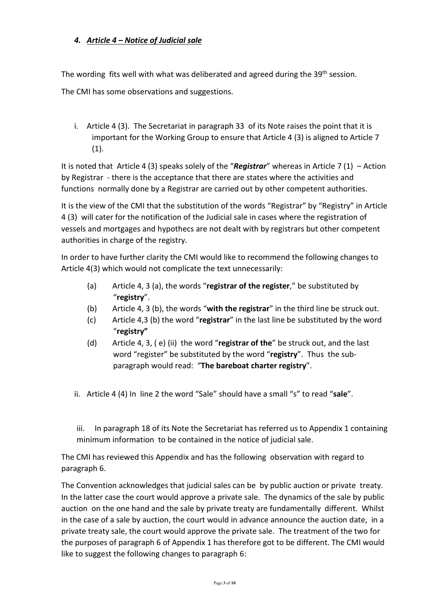# *4. Article 4 – Notice of Judicial sale*

The wording fits well with what was deliberated and agreed during the 39<sup>th</sup> session.

The CMI has some observations and suggestions.

i. Article 4 (3). The Secretariat in paragraph 33 of its Note raises the point that it is important for the Working Group to ensure that Article 4 (3) is aligned to Article 7  $(1).$ 

It is noted that Article 4 (3) speaks solely of the "*Registrar*" whereas in Article 7 (1) – Action by Registrar - there is the acceptance that there are states where the activities and functions normally done by a Registrar are carried out by other competent authorities.

It is the view of the CMI that the substitution of the words "Registrar" by "Registry" in Article 4 (3) will cater for the notification of the Judicial sale in cases where the registration of vessels and mortgages and hypothecs are not dealt with by registrars but other competent authorities in charge of the registry.

In order to have further clarity the CMI would like to recommend the following changes to Article 4(3) which would not complicate the text unnecessarily:

- (a) Article 4, 3 (a), the words "**registrar of the register**," be substituted by "**registry**".
- (b) Article 4, 3 (b), the words "**with the registrar**" in the third line be struck out.
- (c) Article 4,3 (b) the word "**registrar**" in the last line be substituted by the word "**registry"**
- (d) Article 4, 3, ( e) (ii) the word "**registrar of the**" be struck out, and the last word "register" be substituted by the word "**registry**". Thus the subparagraph would read: "**The bareboat charter registry**".
- ii. Article 4 (4) In line 2 the word "Sale" should have a small "s" to read "**sale**".

iii. In paragraph 18 of its Note the Secretariat has referred us to Appendix 1 containing minimum information to be contained in the notice of judicial sale.

The CMI has reviewed this Appendix and has the following observation with regard to paragraph 6.

The Convention acknowledges that judicial sales can be by public auction or private treaty. In the latter case the court would approve a private sale. The dynamics of the sale by public auction on the one hand and the sale by private treaty are fundamentally different. Whilst in the case of a sale by auction, the court would in advance announce the auction date, in a private treaty sale, the court would approve the private sale. The treatment of the two for the purposes of paragraph 6 of Appendix 1 has therefore got to be different. The CMI would like to suggest the following changes to paragraph 6: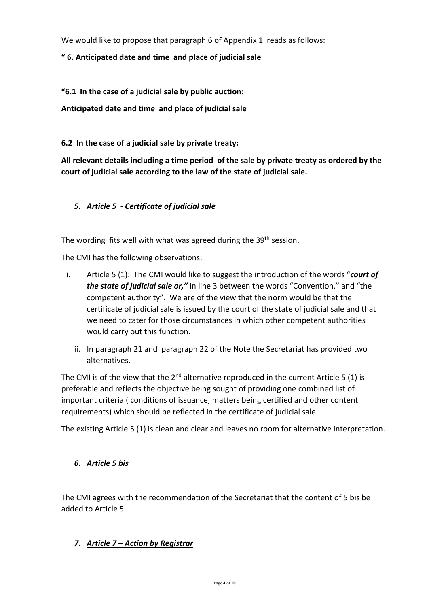We would like to propose that paragraph 6 of Appendix 1 reads as follows:

## **" 6. Anticipated date and time and place of judicial sale**

**"6.1 In the case of a judicial sale by public auction:** 

**Anticipated date and time and place of judicial sale**

**6.2 In the case of a judicial sale by private treaty:** 

**All relevant details including a time period of the sale by private treaty as ordered by the court of judicial sale according to the law of the state of judicial sale.** 

## *5. Article 5 - Certificate of judicial sale*

The wording fits well with what was agreed during the 39<sup>th</sup> session.

The CMI has the following observations:

- i. Article 5 (1): The CMI would like to suggest the introduction of the words "*court of the state of judicial sale or,"* in line 3 between the words "Convention," and "the competent authority". We are of the view that the norm would be that the certificate of judicial sale is issued by the court of the state of judicial sale and that we need to cater for those circumstances in which other competent authorities would carry out this function.
	- ii. In paragraph 21 and paragraph 22 of the Note the Secretariat has provided two alternatives.

The CMI is of the view that the  $2^{nd}$  alternative reproduced in the current Article 5 (1) is preferable and reflects the objective being sought of providing one combined list of important criteria ( conditions of issuance, matters being certified and other content requirements) which should be reflected in the certificate of judicial sale.

The existing Article 5 (1) is clean and clear and leaves no room for alternative interpretation.

## *6. Article 5 bis*

The CMI agrees with the recommendation of the Secretariat that the content of 5 bis be added to Article 5.

## *7. Article 7 – Action by Registrar*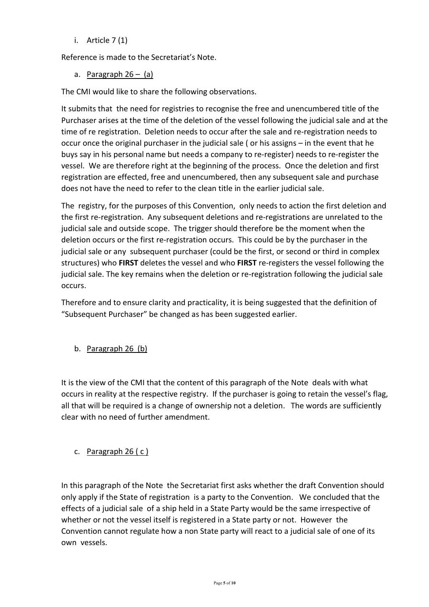i. Article  $7(1)$ 

Reference is made to the Secretariat's Note.

a. Paragraph  $26 - (a)$ 

The CMI would like to share the following observations.

It submits that the need for registries to recognise the free and unencumbered title of the Purchaser arises at the time of the deletion of the vessel following the judicial sale and at the time of re registration. Deletion needs to occur after the sale and re-registration needs to occur once the original purchaser in the judicial sale ( or his assigns – in the event that he buys say in his personal name but needs a company to re-register) needs to re-register the vessel. We are therefore right at the beginning of the process. Once the deletion and first registration are effected, free and unencumbered, then any subsequent sale and purchase does not have the need to refer to the clean title in the earlier judicial sale.

The registry, for the purposes of this Convention, only needs to action the first deletion and the first re-registration. Any subsequent deletions and re-registrations are unrelated to the judicial sale and outside scope. The trigger should therefore be the moment when the deletion occurs or the first re-registration occurs. This could be by the purchaser in the judicial sale or any subsequent purchaser (could be the first, or second or third in complex structures) who **FIRST** deletes the vessel and who **FIRST** re-registers the vessel following the judicial sale. The key remains when the deletion or re-registration following the judicial sale occurs.

Therefore and to ensure clarity and practicality, it is being suggested that the definition of "Subsequent Purchaser" be changed as has been suggested earlier.

b. Paragraph 26 (b)

It is the view of the CMI that the content of this paragraph of the Note deals with what occurs in reality at the respective registry. If the purchaser is going to retain the vessel's flag, all that will be required is a change of ownership not a deletion. The words are sufficiently clear with no need of further amendment.

c. Paragraph  $26(c)$ 

In this paragraph of the Note the Secretariat first asks whether the draft Convention should only apply if the State of registration is a party to the Convention. We concluded that the effects of a judicial sale of a ship held in a State Party would be the same irrespective of whether or not the vessel itself is registered in a State party or not. However the Convention cannot regulate how a non State party will react to a judicial sale of one of its own vessels.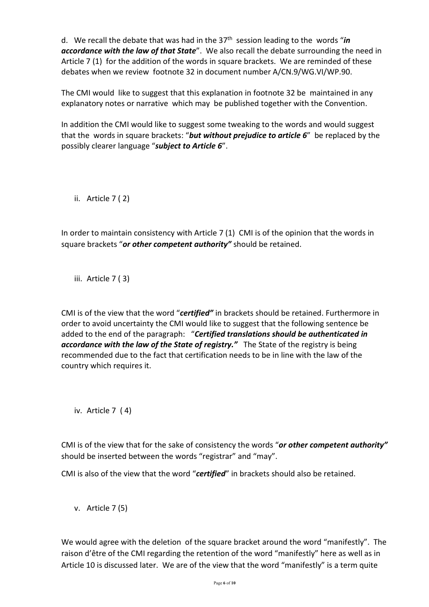d. We recall the debate that was had in the 37th session leading to the words "*in accordance with the law of that State*". We also recall the debate surrounding the need in Article 7 (1) for the addition of the words in square brackets. We are reminded of these debates when we review footnote 32 in document number A/CN.9/WG.VI/WP.90.

The CMI would like to suggest that this explanation in footnote 32 be maintained in any explanatory notes or narrative which may be published together with the Convention.

In addition the CMI would like to suggest some tweaking to the words and would suggest that the words in square brackets: "*but without prejudice to article 6*" be replaced by the possibly clearer language "*subject to Article 6*".

ii. Article 7 ( 2)

In order to maintain consistency with Article 7 (1) CMI is of the opinion that the words in square brackets "*or other competent authority"* should be retained.

iii. Article 7 ( 3)

CMI is of the view that the word "*certified"* in brackets should be retained. Furthermore in order to avoid uncertainty the CMI would like to suggest that the following sentence be added to the end of the paragraph: "*Certified translations should be authenticated in accordance with the law of the State of registry."* The State of the registry is being recommended due to the fact that certification needs to be in line with the law of the country which requires it.

iv. Article 7 ( 4)

CMI is of the view that for the sake of consistency the words "*or other competent authority"* should be inserted between the words "registrar" and "may".

CMI is also of the view that the word "*certified*" in brackets should also be retained.

v. Article 7 (5)

We would agree with the deletion of the square bracket around the word "manifestly". The raison d'être of the CMI regarding the retention of the word "manifestly" here as well as in Article 10 is discussed later. We are of the view that the word "manifestly" is a term quite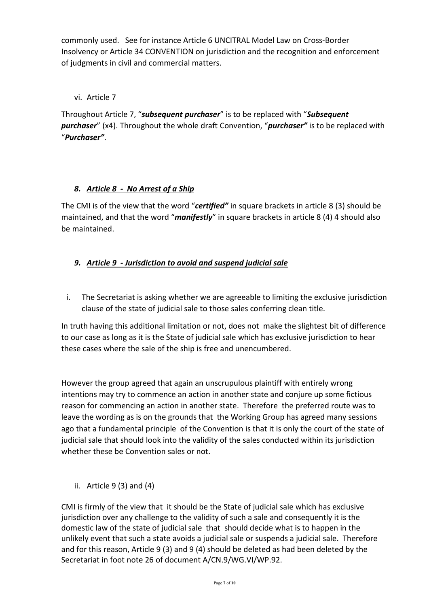commonly used. See for instance Article 6 UNCITRAL Model Law on Cross-Border Insolvency or Article 34 CONVENTION on jurisdiction and the recognition and enforcement of judgments in civil and commercial matters.

## vi. Article 7

Throughout Article 7, "*subsequent purchaser*" is to be replaced with "*Subsequent purchaser*" (x4). Throughout the whole draft Convention, "*purchaser"* is to be replaced with "*Purchaser"*.

# *8. Article 8 - No Arrest of a Ship*

The CMI is of the view that the word "*certified"* in square brackets in article 8 (3) should be maintained, and that the word "*manifestly*" in square brackets in article 8 (4) 4 should also be maintained.

# *9. Article 9 - Jurisdiction to avoid and suspend judicial sale*

i. The Secretariat is asking whether we are agreeable to limiting the exclusive jurisdiction clause of the state of judicial sale to those sales conferring clean title.

In truth having this additional limitation or not, does not make the slightest bit of difference to our case as long as it is the State of judicial sale which has exclusive jurisdiction to hear these cases where the sale of the ship is free and unencumbered.

However the group agreed that again an unscrupulous plaintiff with entirely wrong intentions may try to commence an action in another state and conjure up some fictious reason for commencing an action in another state. Therefore the preferred route was to leave the wording as is on the grounds that the Working Group has agreed many sessions ago that a fundamental principle of the Convention is that it is only the court of the state of judicial sale that should look into the validity of the sales conducted within its jurisdiction whether these be Convention sales or not.

ii. Article  $9(3)$  and  $(4)$ 

CMI is firmly of the view that it should be the State of judicial sale which has exclusive jurisdiction over any challenge to the validity of such a sale and consequently it is the domestic law of the state of judicial sale that should decide what is to happen in the unlikely event that such a state avoids a judicial sale or suspends a judicial sale. Therefore and for this reason, Article 9 (3) and 9 (4) should be deleted as had been deleted by the Secretariat in foot note 26 of document A/CN.9/WG.VI/WP.92.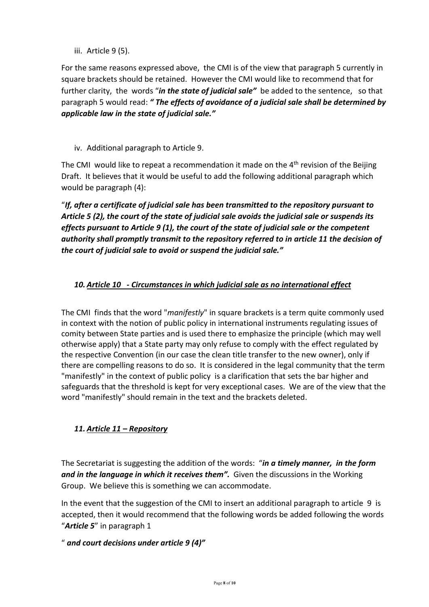iii. Article 9 (5).

For the same reasons expressed above, the CMI is of the view that paragraph 5 currently in square brackets should be retained. However the CMI would like to recommend that for further clarity, the words "*in the state of judicial sale"* be added to the sentence, so that paragraph 5 would read: *" The effects of avoidance of a judicial sale shall be determined by applicable law in the state of judicial sale."*

iv. Additional paragraph to Article 9.

The CMI would like to repeat a recommendation it made on the  $4<sup>th</sup>$  revision of the Beijing Draft. It believes that it would be useful to add the following additional paragraph which would be paragraph (4):

"*If, after a certificate of judicial sale has been transmitted to the repository pursuant to Article 5 (2), the court of the state of judicial sale avoids the judicial sale or suspends its effects pursuant to Article 9 (1), the court of the state of judicial sale or the competent authority shall promptly transmit to the repository referred to in article 11 the decision of the court of judicial sale to avoid or suspend the judicial sale."*

# *10. Article 10 - Circumstances in which judicial sale as no international effect*

The CMI finds that the word "*manifestly*" in square brackets is a term quite commonly used in context with the notion of public policy in international instruments regulating issues of comity between State parties and is used there to emphasize the principle (which may well otherwise apply) that a State party may only refuse to comply with the effect regulated by the respective Convention (in our case the clean title transfer to the new owner), only if there are compelling reasons to do so. It is considered in the legal community that the term "manifestly" in the context of public policy is a clarification that sets the bar higher and safeguards that the threshold is kept for very exceptional cases. We are of the view that the word "manifestly" should remain in the text and the brackets deleted.

# *11. Article 11 – Repository*

The Secretariat is suggesting the addition of the words: "*in a timely manner, in the form and in the language in which it receives them".* Given the discussions in the Working Group. We believe this is something we can accommodate.

In the event that the suggestion of the CMI to insert an additional paragraph to article 9 is accepted, then it would recommend that the following words be added following the words "*Article 5*" in paragraph 1

# " *and court decisions under article 9 (4)"*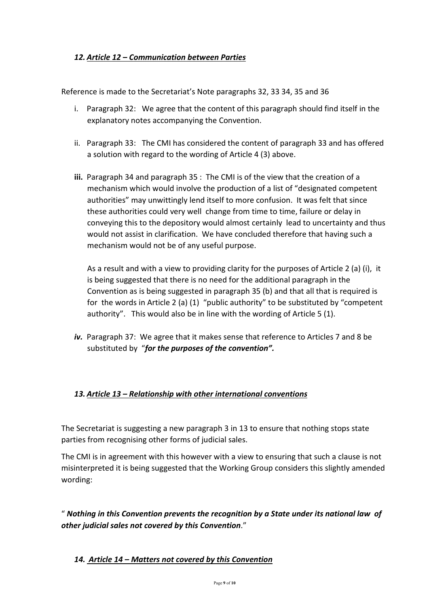## *12. Article 12 – Communication between Parties*

Reference is made to the Secretariat's Note paragraphs 32, 33 34, 35 and 36

- i. Paragraph 32: We agree that the content of this paragraph should find itself in the explanatory notes accompanying the Convention.
- ii. Paragraph 33: The CMI has considered the content of paragraph 33 and has offered a solution with regard to the wording of Article 4 (3) above.
- **iii.** Paragraph 34 and paragraph 35 : The CMI is of the view that the creation of a mechanism which would involve the production of a list of "designated competent authorities" may unwittingly lend itself to more confusion. It was felt that since these authorities could very well change from time to time, failure or delay in conveying this to the depository would almost certainly lead to uncertainty and thus would not assist in clarification. We have concluded therefore that having such a mechanism would not be of any useful purpose.

As a result and with a view to providing clarity for the purposes of Article 2 (a) (i), it is being suggested that there is no need for the additional paragraph in the Convention as is being suggested in paragraph 35 (b) and that all that is required is for the words in Article 2 (a) (1) "public authority" to be substituted by "competent authority". This would also be in line with the wording of Article 5 (1).

*iv.* Paragraph 37: We agree that it makes sense that reference to Articles 7 and 8 be substituted by "*for the purposes of the convention".*

## *13. Article 13 – Relationship with other international conventions*

The Secretariat is suggesting a new paragraph 3 in 13 to ensure that nothing stops state parties from recognising other forms of judicial sales.

The CMI is in agreement with this however with a view to ensuring that such a clause is not misinterpreted it is being suggested that the Working Group considers this slightly amended wording:

" *Nothing in this Convention prevents the recognition by a State under its national law of other judicial sales not covered by this Convention*."

## *14. Article 14 – Matters not covered by this Convention*